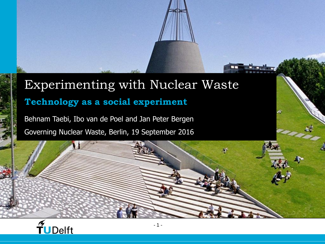#### Experimenting with Nuclear Waste **Technology as a social experiment**

Behnam Taebi, Ibo van de Poel and Jan Peter Bergen Governing Nuclear Waste, Berlin, 19 September 2016

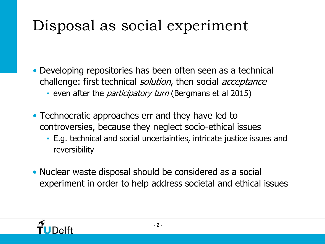## Disposal as social experiment

• Developing repositories has been often seen as a technical challenge: first technical *solution*, then social *acceptance* 

- even after the *participatory turn* (Bergmans et al 2015)
- Technocratic approaches err and they have led to controversies, because they neglect socio-ethical issues
	- E.g. technical and social uncertainties, intricate justice issues and reversibility
- Nuclear waste disposal should be considered as a social experiment in order to help address societal and ethical issues

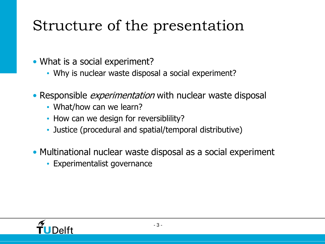## Structure of the presentation

• What is a social experiment?

- Why is nuclear waste disposal a social experiment?
- Responsible *experimentation* with nuclear waste disposal
	- What/how can we learn?
	- How can we design for reversiblility?
	- Justice (procedural and spatial/temporal distributive)
- Multinational nuclear waste disposal as a social experiment
	- Experimentalist governance

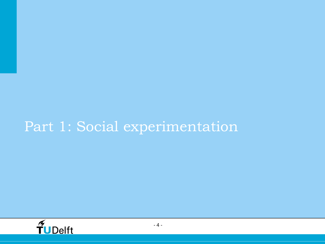#### Part 1: Social experimentation

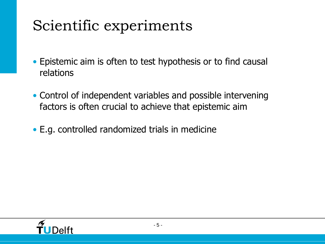## Scientific experiments

- Epistemic aim is often to test hypothesis or to find causal relations
- Control of independent variables and possible intervening factors is often crucial to achieve that epistemic aim
- E.g. controlled randomized trials in medicine

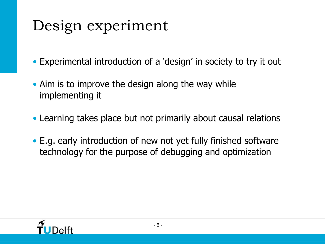## Design experiment

• Experimental introduction of a 'design' in society to try it out

- Aim is to improve the design along the way while implementing it
- Learning takes place but not primarily about causal relations
- E.g. early introduction of new not yet fully finished software technology for the purpose of debugging and optimization

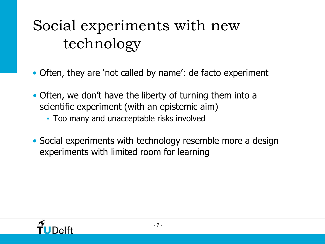## Social experiments with new technology

- Often, they are 'not called by name': de facto experiment
- Often, we don't have the liberty of turning them into a scientific experiment (with an epistemic aim)
	- Too many and unacceptable risks involved
- Social experiments with technology resemble more a design experiments with limited room for learning

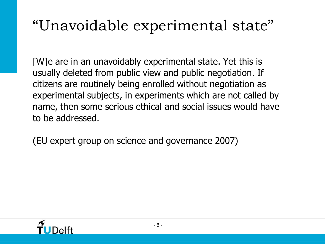### "Unavoidable experimental state"

[W]e are in an unavoidably experimental state. Yet this is usually deleted from public view and public negotiation. If citizens are routinely being enrolled without negotiation as experimental subjects, in experiments which are not called by name, then some serious ethical and social issues would have to be addressed.

(EU expert group on science and governance 2007)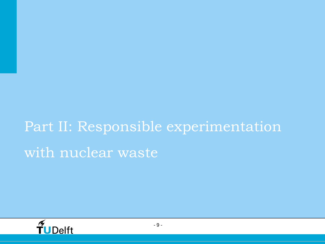# Part II: Responsible experimentation with nuclear waste,

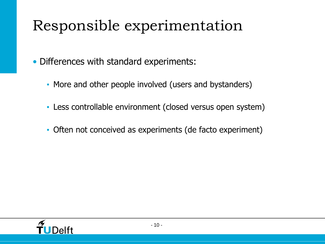## Responsible experimentation

• Differences with standard experiments:

- More and other people involved (users and bystanders)
- Less controllable environment (closed versus open system)
- Often not conceived as experiments (de facto experiment)

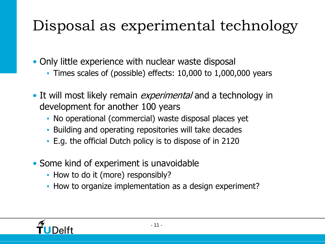## Disposal as experimental technology

• Only little experience with nuclear waste disposal

- Times scales of (possible) effects: 10,000 to 1,000,000 years
- It will most likely remain *experimental* and a technology in development for another 100 years
	- No operational (commercial) waste disposal places yet
	- Building and operating repositories will take decades
	- E.g. the official Dutch policy is to dispose of in 2120
- Some kind of experiment is unavoidable
	- How to do it (more) responsibly?
	- How to organize implementation as a design experiment?

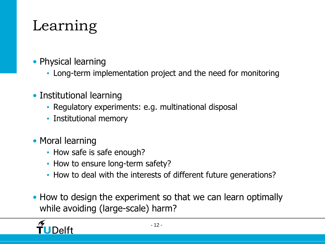## Learning

- Physical learning
	- Long-term implementation project and the need for monitoring
- Institutional learning
	- Regulatory experiments: e.g. multinational disposal
	- Institutional memory
- Moral learning
	- How safe is safe enough?
	- How to ensure long-term safety?
	- How to deal with the interests of different future generations?
- How to design the experiment so that we can learn optimally while avoiding (large-scale) harm?

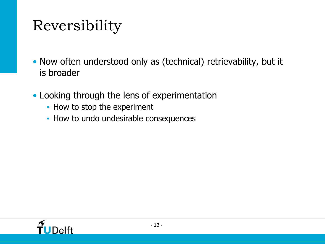## Reversibility

- Now often understood only as (technical) retrievability, but it is broader
- Looking through the lens of experimentation
	- How to stop the experiment
	- How to undo undesirable consequences

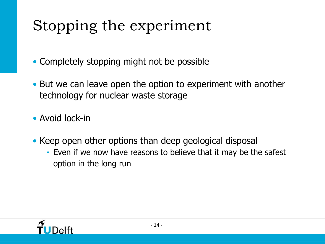## Stopping the experiment

• Completely stopping might not be possible

- But we can leave open the option to experiment with another technology for nuclear waste storage
- Avoid lock-in
- Keep open other options than deep geological disposal
	- Even if we now have reasons to believe that it may be the safest option in the long run

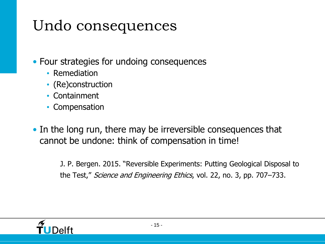## Undo consequences

• Four strategies for undoing consequences

- Remediation
- (Re)construction
- Containment
- Compensation
- In the long run, there may be irreversible consequences that cannot be undone: think of compensation in time!

J. P. Bergen. 2015. "Reversible Experiments: Putting Geological Disposal to the Test," *Science and Engineering Ethics*, vol. 22, no. 3, pp. 707–733.

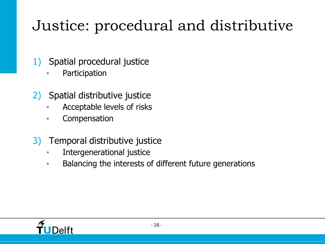## Justice: procedural and distributive

- 1) Spatial procedural justice
	- **Participation**
- 2) Spatial distributive justice
	- Acceptable levels of risks
	- **Compensation**
- 3) Temporal distributive justice
	- Intergenerational justice
	- Balancing the interests of different future generations

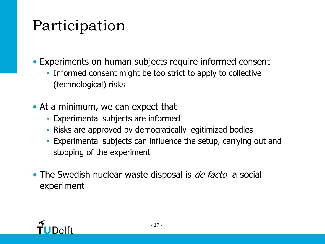## Participation

• Experiments on human subjects require informed consent

- Informed consent might be too strict to apply to collective (technological) risks
- At a minimum, we can expect that
	- Experimental subjects are informed
	- Risks are approved by democratically legitimized bodies
	- Experimental subjects can influence the setup, carrying out and stopping of the experiment
- The Swedish nuclear waste disposal is *de facto* a social experiment

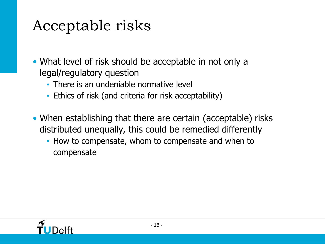#### Acceptable risks

• What level of risk should be acceptable in not only a legal/regulatory question

- There is an undeniable normative level
- Ethics of risk (and criteria for risk acceptability)
- When establishing that there are certain (acceptable) risks distributed unequally, this could be remedied differently
	- How to compensate, whom to compensate and when to compensate

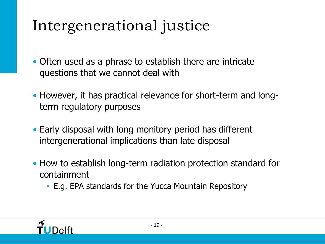## Intergenerational justice

- Often used as a phrase to establish there are intricate questions that we cannot deal with
- However, it has practical relevance for short-term and longterm regulatory purposes
- Early disposal with long monitory period has different intergenerational implications than late disposal
- How to establish long-term radiation protection standard for containment
	- E.g. EPA standards for the Yucca Mountain Repository

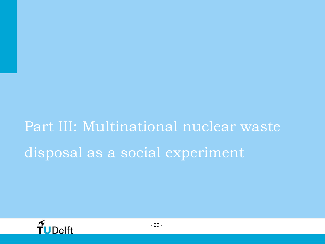# Part III: Multinational nuclear waste disposal as a social experiment

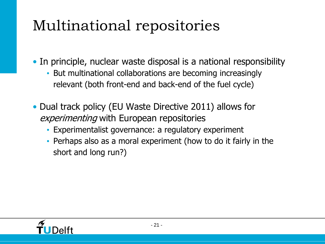## Multinational repositories

• In principle, nuclear waste disposal is a national responsibility

- But multinational collaborations are becoming increasingly relevant (both front-end and back-end of the fuel cycle)
- Dual track policy (EU Waste Directive 2011) allows for experimenting with European repositories
	- Experimentalist governance: a regulatory experiment
	- Perhaps also as a moral experiment (how to do it fairly in the short and long run?)

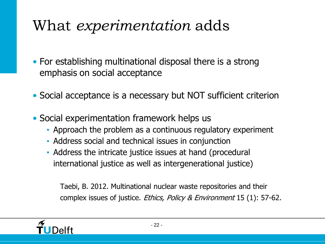#### What *experimentation* adds

- For establishing multinational disposal there is a strong emphasis on social acceptance
- Social acceptance is a necessary but NOT sufficient criterion
- Social experimentation framework helps us
	- Approach the problem as a continuous regulatory experiment
	- Address social and technical issues in conjunction
	- Address the intricate justice issues at hand (procedural international justice as well as intergenerational justice)

Taebi, B. 2012. Multinational nuclear waste repositories and their complex issues of justice. Ethics, Policy & Environment 15 (1): 57-62.

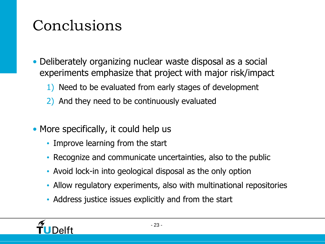## Conclusions

- Deliberately organizing nuclear waste disposal as a social experiments emphasize that project with major risk/impact
	- 1) Need to be evaluated from early stages of development
	- 2) And they need to be continuously evaluated
- More specifically, it could help us
	- Improve learning from the start
	- Recognize and communicate uncertainties, also to the public
	- Avoid lock-in into geological disposal as the only option
	- Allow regulatory experiments, also with multinational repositories
	- Address justice issues explicitly and from the start